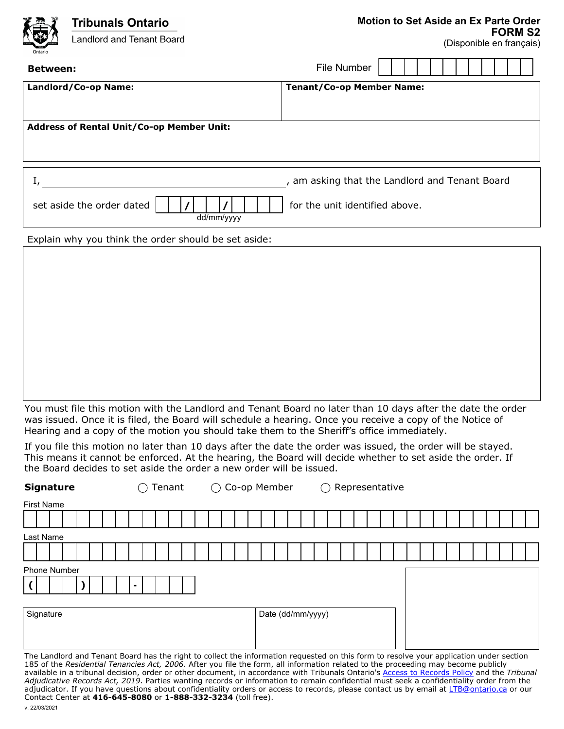| $\sum_{i=1}^{n}$<br>Ontario                      | <b>Tribunals Ontario</b><br>Landlord and Tenant Board | Motion to Set Aside an Ex Parte Order          |  |
|--------------------------------------------------|-------------------------------------------------------|------------------------------------------------|--|
|                                                  |                                                       | <b>FORM S2</b><br>(Disponible en français)     |  |
| <b>Between:</b>                                  |                                                       | <b>File Number</b>                             |  |
| Landlord/Co-op Name:                             |                                                       | <b>Tenant/Co-op Member Name:</b>               |  |
|                                                  |                                                       |                                                |  |
| <b>Address of Rental Unit/Co-op Member Unit:</b> |                                                       |                                                |  |
|                                                  |                                                       |                                                |  |
|                                                  |                                                       |                                                |  |
|                                                  |                                                       | , am asking that the Landlord and Tenant Board |  |
|                                                  | set aside the order dated<br>dd/mm/yyyy               | for the unit identified above.                 |  |

Explain why you think the order should be set aside:

You must file this motion with the Landlord and Tenant Board no later than 10 days after the date the order was issued. Once it is filed, the Board will schedule a hearing. Once you receive a copy of the Notice of Hearing and a copy of the motion you should take them to the Sheriff's office immediately.

If you file this motion no later than 10 days after the date the order was issued, the order will be stayed. This means it cannot be enforced. At the hearing, the Board will decide whether to set aside the order. If the Board decides to set aside the order a new order will be issued.

| <b>Signature</b>                                                                                                                        | Tenant $\bigcirc$ Co-op Member<br>⌒ | $\bigcirc$ Representative |  |  |
|-----------------------------------------------------------------------------------------------------------------------------------------|-------------------------------------|---------------------------|--|--|
| <b>First Name</b>                                                                                                                       |                                     |                           |  |  |
|                                                                                                                                         |                                     |                           |  |  |
| Last Name                                                                                                                               |                                     |                           |  |  |
|                                                                                                                                         |                                     |                           |  |  |
| <b>Phone Number</b>                                                                                                                     |                                     |                           |  |  |
|                                                                                                                                         |                                     |                           |  |  |
|                                                                                                                                         |                                     |                           |  |  |
| Signature                                                                                                                               |                                     | Date (dd/mm/yyyy)         |  |  |
|                                                                                                                                         |                                     |                           |  |  |
| The Landlerd and Tenant Board has the right to cellect the information requested on this form to resolve your application under soction |                                     |                           |  |  |

ndlord and Tenant Board has the right to collect the information requested on this form to resolve your application und 185 of the *Residential Tenancies Act, 2006*. After you file the form, all information related to the proceeding may become publicly available in a tribunal decision, order or other document, in accordance with Tribunals Ontario's [Access to Records Policy](https://tribunalsontario.ca/documents/sjto/A2I-Policy-en.html) and the *Tribunal Adjudicative Records Act, 2019*. Parties wanting records or information to remain confidential must seek a confidentiality order from the adjudicator. If you have questions about confidentiality orders or access to records, please contact us by email at [LTB@ontario.ca](mailto:LTB@ontario.ca) or our Contact Center at **416-645-8080** or **1-888-332-3234** (toll free).